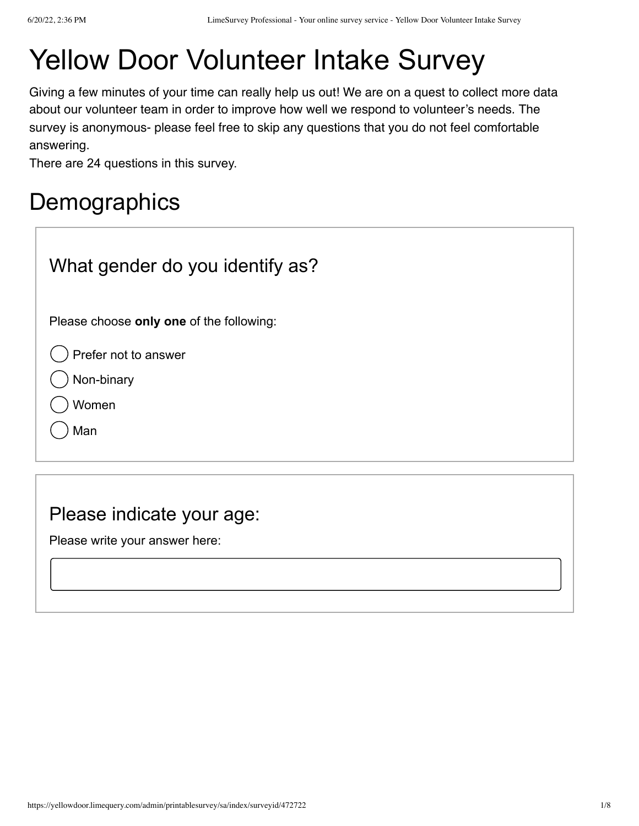# Yellow Door Volunteer Intake Survey

Giving a few minutes of your time can really help us out! We are on a quest to collect more data about our volunteer team in order to improve how well we respond to volunteer's needs. The survey is anonymous- please feel free to skip any questions that you do not feel comfortable answering.

There are 24 questions in this survey.

## **Demographics**

| What gender do you identify as?                    |
|----------------------------------------------------|
| Please choose only one of the following:           |
| Prefer not to answer<br>Non-binary<br>Women<br>Man |
|                                                    |

#### Please indicate your age:

Please write your answer here: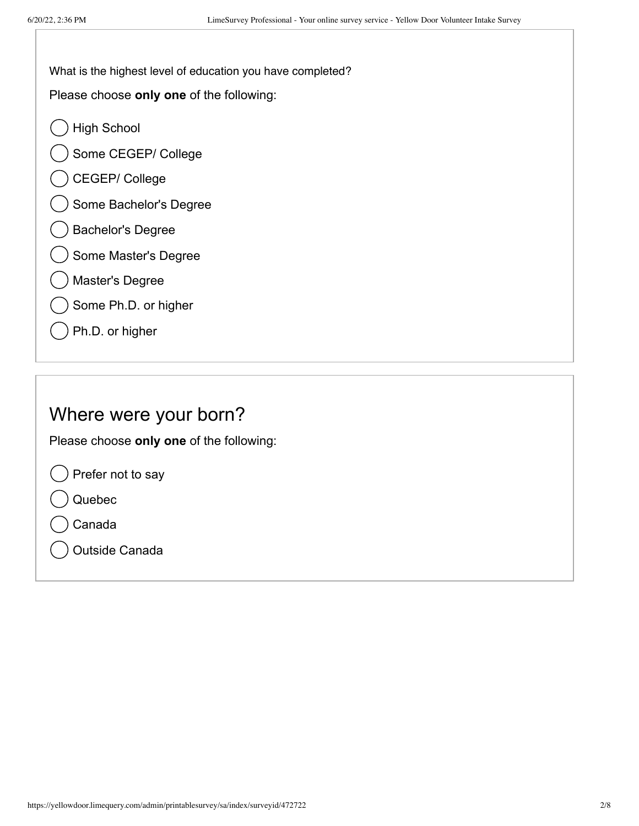What is the highest level of education you have completed?

Please choose **only one** of the following:

- High School
- Some CEGEP/ College
- CEGEP/ College
- Some Bachelor's Degree
- Bachelor's Degree
- Some Master's Degree
- Master's Degree
- Some Ph.D. or higher
- Ph.D. or higher

#### Where were your born?

Please choose **only one** of the following:

Prefer not to say

- Quebec
- Canada
- Outside Canada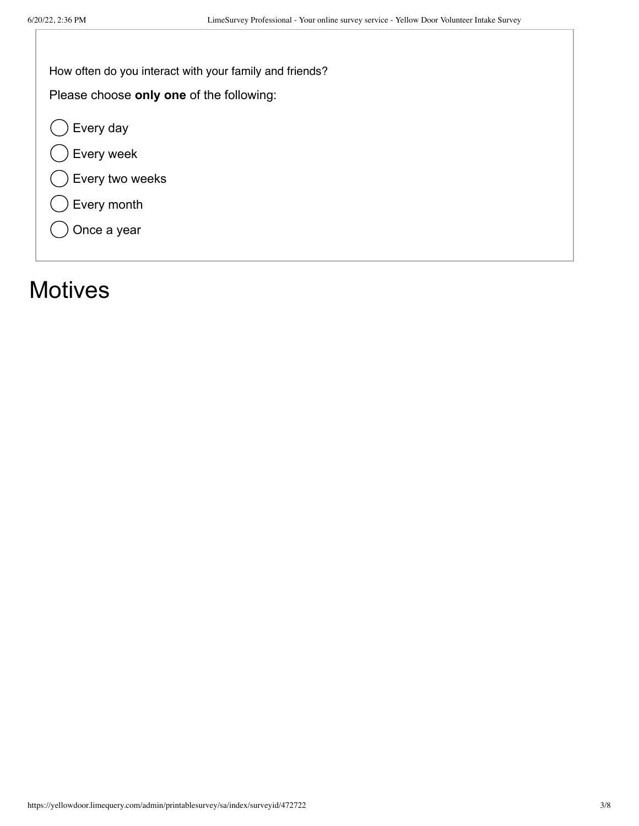How often do you interact with your family and friends?

Please choose **only one** of the following:

 $\bigcirc$  Every day

Every week

Every two weeks

Every month

Once a year

### **Motives**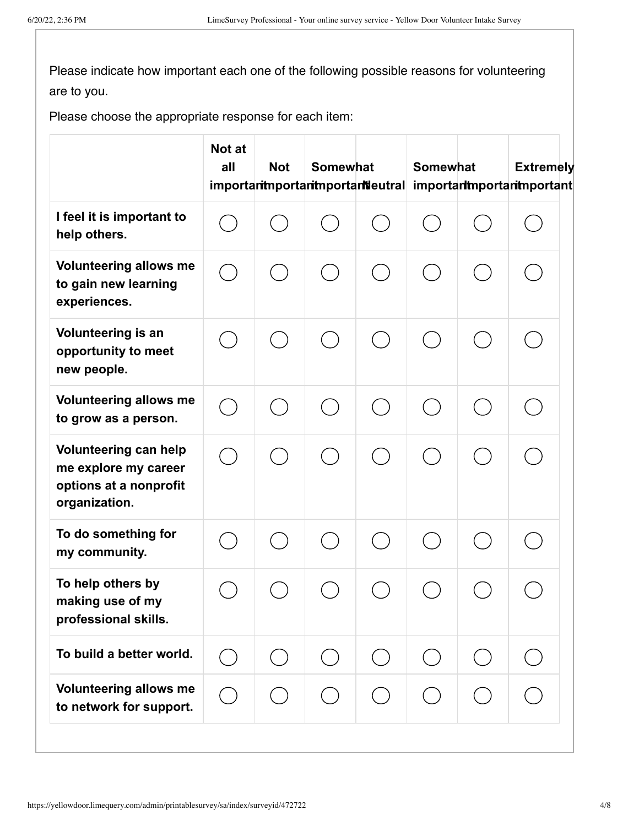Please indicate how important each one of the following possible reasons for volunteering are to you.

Please choose the appropriate response for each item:

|                                                                                          | Not at<br>all | <b>Not</b> | <b>Somewhat</b> | importantmportantmportantleutral | <b>Somewhat</b> | <b>Extremely</b><br>important mportant portant |
|------------------------------------------------------------------------------------------|---------------|------------|-----------------|----------------------------------|-----------------|------------------------------------------------|
| I feel it is important to<br>help others.                                                |               |            |                 |                                  |                 |                                                |
| <b>Volunteering allows me</b><br>to gain new learning<br>experiences.                    |               |            |                 |                                  |                 |                                                |
| Volunteering is an<br>opportunity to meet<br>new people.                                 |               |            |                 |                                  |                 |                                                |
| <b>Volunteering allows me</b><br>to grow as a person.                                    |               |            |                 |                                  |                 |                                                |
| Volunteering can help<br>me explore my career<br>options at a nonprofit<br>organization. |               |            |                 |                                  |                 |                                                |
| To do something for<br>my community.                                                     |               |            |                 |                                  |                 |                                                |
| To help others by<br>making use of my<br>professional skills.                            |               |            |                 |                                  |                 |                                                |
| To build a better world.                                                                 |               |            |                 | $(\ )$                           |                 |                                                |
| <b>Volunteering allows me</b><br>to network for support.                                 |               |            |                 |                                  |                 |                                                |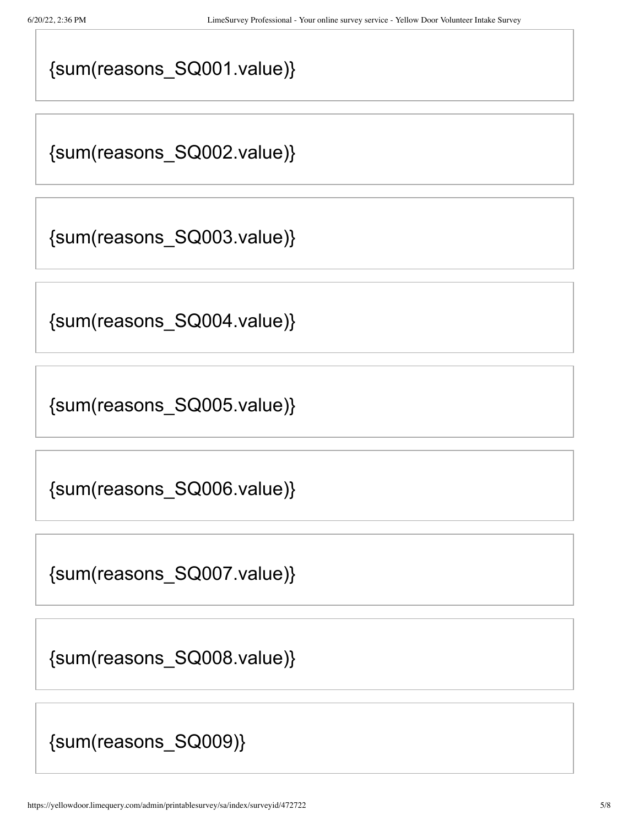### {sum(reasons\_SQ001.value)}

{sum(reasons\_SQ002.value)}

{sum(reasons\_SQ003.value)}

{sum(reasons\_SQ004.value)}

{sum(reasons\_SQ005.value)}

{sum(reasons\_SQ006.value)}

{sum(reasons\_SQ007.value)}

{sum(reasons\_SQ008.value)}

{sum(reasons\_SQ009)}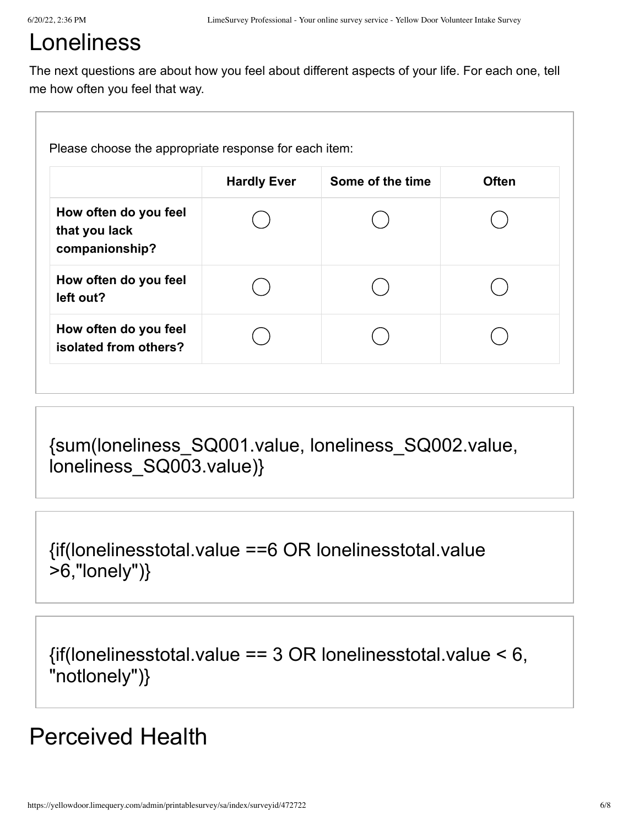# Loneliness

The next questions are about how you feel about different aspects of your life. For each one, tell me how often you feel that way.

|                                                          | <b>Hardly Ever</b> | Some of the time | <b>Often</b> |
|----------------------------------------------------------|--------------------|------------------|--------------|
| How often do you feel<br>that you lack<br>companionship? |                    |                  |              |
| How often do you feel<br>left out?                       |                    |                  |              |
| How often do you feel<br>isolated from others?           |                    |                  |              |

{sum(loneliness\_SQ001.value, loneliness\_SQ002.value, loneliness\_SQ003.value)}

{if(lonelinesstotal.value ==6 OR lonelinesstotal.value >6,"lonely")}

 $\{$ if(lonelinesstotal.value == 3 OR lonelinesstotal.value < 6, "notlonely")}

### Perceived Health